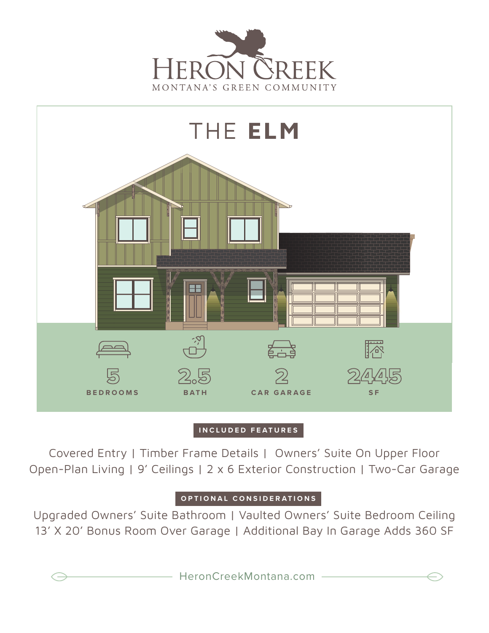



## **INCLUDED FEATURES**

Covered Entry | Timber Frame Details | Owners' Suite On Upper Floor Open-Plan Living | 9' Ceilings | 2 x 6 Exterior Construction | Two-Car Garage

## **OPTIONAL CONSIDERATIONS**

Upgraded Owners' Suite Bathroom | Vaulted Owners' Suite Bedroom Ceiling 13' X 20' Bonus Room Over Garage | Additional Bay In Garage Adds 360 SF